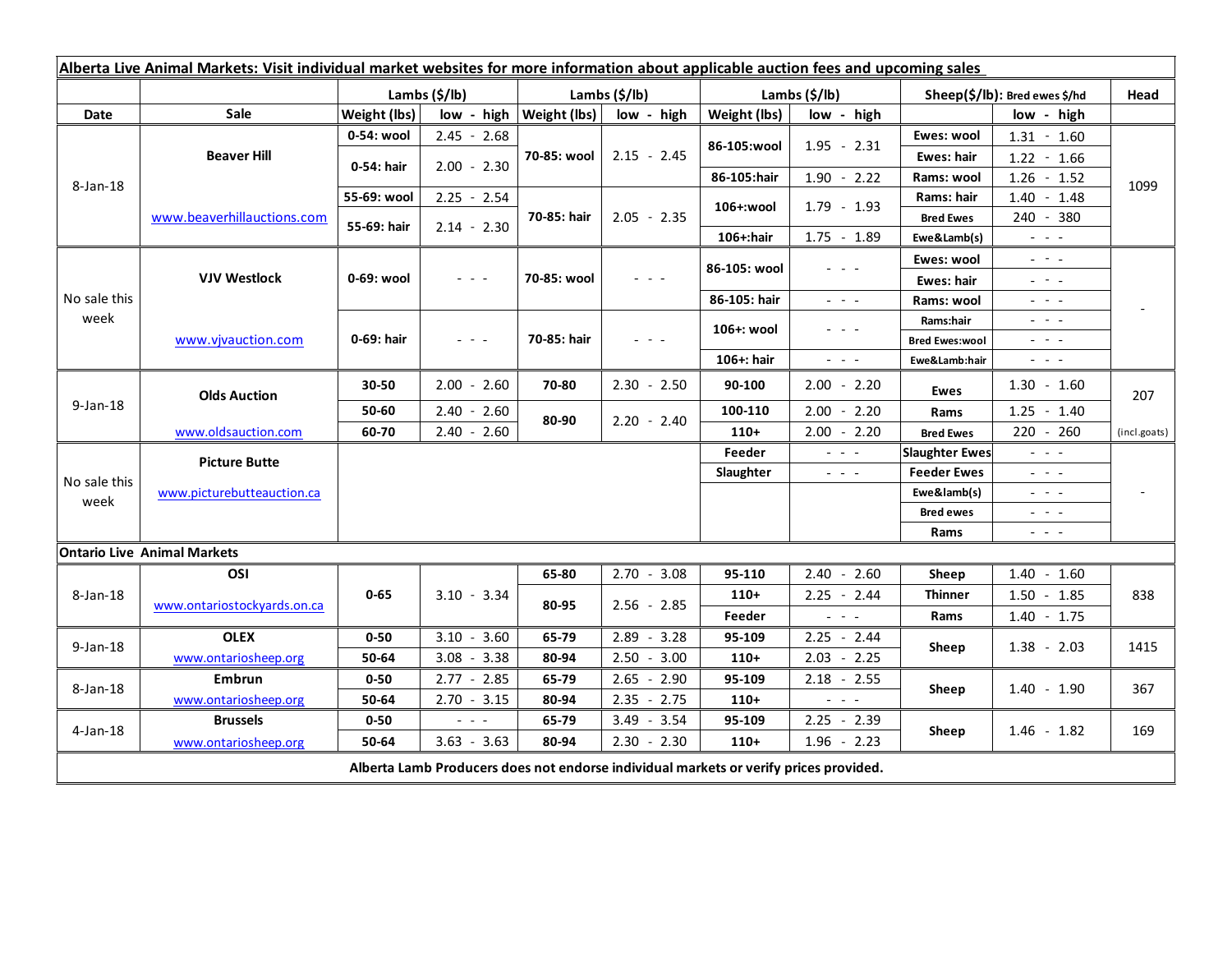| Alberta Live Animal Markets: Visit individual market websites for more information about applicable auction fees and upcoming sales |                                    |                           |                                       |                              |                                            |                           |                                                                                                                           |                               |                                                                                                                           |                          |
|-------------------------------------------------------------------------------------------------------------------------------------|------------------------------------|---------------------------|---------------------------------------|------------------------------|--------------------------------------------|---------------------------|---------------------------------------------------------------------------------------------------------------------------|-------------------------------|---------------------------------------------------------------------------------------------------------------------------|--------------------------|
|                                                                                                                                     |                                    | Lambs $(\frac{2}{3})$ lb) |                                       | Lambs (\$/lb)                |                                            | Lambs $(\frac{2}{3})$ lb) |                                                                                                                           | Sheep(\$/lb): Bred ewes \$/hd |                                                                                                                           | Head                     |
| Date                                                                                                                                | <b>Sale</b>                        | Weight (lbs)              |                                       | $low - high   Weight (lbs) $ | low - high                                 | Weight (lbs)              | low - high                                                                                                                | low - high                    |                                                                                                                           |                          |
| 8-Jan-18                                                                                                                            | <b>Beaver Hill</b>                 | 0-54: wool                | $2.45 - 2.68$                         | 70-85: wool                  | $2.15 - 2.45$                              | 86-105:wool               | $1.95 - 2.31$                                                                                                             | Ewes: wool                    | $1.31 - 1.60$                                                                                                             | 1099                     |
|                                                                                                                                     |                                    | 0-54: hair                | $2.00 - 2.30$                         |                              |                                            |                           |                                                                                                                           | <b>Ewes: hair</b>             | $1.22 - 1.66$                                                                                                             |                          |
|                                                                                                                                     |                                    |                           |                                       |                              |                                            | 86-105:hair               | $1.90 - 2.22$                                                                                                             | Rams: wool                    | $1.26 - 1.52$                                                                                                             |                          |
|                                                                                                                                     | www.beaverhillauctions.com         | 55-69: wool               | $2.25 - 2.54$                         | 70-85: hair                  | $2.05 - 2.35$                              | 106+:wool                 | $1.79 - 1.93$                                                                                                             | Rams: hair                    | $1.40 - 1.48$                                                                                                             |                          |
|                                                                                                                                     |                                    | 55-69: hair               | $2.14 - 2.30$                         |                              |                                            |                           |                                                                                                                           | <b>Bred Ewes</b>              | 240 - 380                                                                                                                 |                          |
|                                                                                                                                     |                                    |                           |                                       |                              |                                            | 106+:hair                 | $1.75 - 1.89$                                                                                                             | Ewe&Lamb(s)                   | $\omega_{\rm{max}}$ and $\omega_{\rm{max}}$                                                                               |                          |
| No sale this<br>week                                                                                                                | <b>VJV Westlock</b>                | 0-69: wool                | $  -$                                 | 70-85: wool                  |                                            | 86-105: wool              |                                                                                                                           | Ewes: wool                    | $\omega_{\rm{eff}}=0.01$                                                                                                  |                          |
|                                                                                                                                     |                                    |                           |                                       |                              |                                            |                           |                                                                                                                           | <b>Ewes: hair</b>             | $  -$                                                                                                                     |                          |
|                                                                                                                                     |                                    |                           |                                       |                              |                                            | 86-105: hair              | $\frac{1}{2} \left( \frac{1}{2} \right) \left( \frac{1}{2} \right) \left( \frac{1}{2} \right) \left( \frac{1}{2} \right)$ | Rams: wool                    | $  -$                                                                                                                     |                          |
|                                                                                                                                     | www.vjvauction.com                 | 0-69: hair                | $\omega_{\rm c}$ and $\omega_{\rm c}$ | 70-85: hair                  | $\mathbf{L} = \mathbf{L} \cdot \mathbf{L}$ | 106+: wool                | - - -                                                                                                                     | Rams:hair                     | $  -$                                                                                                                     |                          |
|                                                                                                                                     |                                    |                           |                                       |                              |                                            |                           |                                                                                                                           | <b>Bred Ewes:wool</b>         | $\frac{1}{2}$ $\frac{1}{2}$ $\frac{1}{2}$                                                                                 |                          |
|                                                                                                                                     |                                    |                           |                                       |                              |                                            | 106+: hair                | $\frac{1}{2} \left( \frac{1}{2} \right) \left( \frac{1}{2} \right) \left( \frac{1}{2} \right) \left( \frac{1}{2} \right)$ | Ewe&Lamb:hair                 | $\frac{1}{2} \left( \frac{1}{2} \right) \left( \frac{1}{2} \right) \left( \frac{1}{2} \right) \left( \frac{1}{2} \right)$ |                          |
| $9$ -Jan-18                                                                                                                         | <b>Olds Auction</b>                | 30-50                     | $2.00 - 2.60$                         | 70-80                        | $2.30 - 2.50$                              | 90-100                    | $2.00 - 2.20$                                                                                                             | Ewes                          | $1.30 - 1.60$                                                                                                             | 207                      |
|                                                                                                                                     |                                    | 50-60                     | $2.40 - 2.60$                         | 80-90                        | $2.20 - 2.40$                              | 100-110                   | $2.00 - 2.20$                                                                                                             | Rams                          | $1.25 - 1.40$                                                                                                             |                          |
|                                                                                                                                     | www.oldsauction.com                | 60-70                     | $2.40 - 2.60$                         |                              |                                            | $110+$                    | $2.00 - 2.20$                                                                                                             | <b>Bred Ewes</b>              | $220 - 260$                                                                                                               | (incl.goats)             |
| No sale this<br>week                                                                                                                | <b>Picture Butte</b>               |                           |                                       |                              |                                            | Feeder                    | $\omega_{\rm{c}}$ and $\omega_{\rm{c}}$                                                                                   | <b>Slaughter Ewes</b>         | $\omega_{\rm{max}}$                                                                                                       |                          |
|                                                                                                                                     | www.picturebutteauction.ca         |                           |                                       |                              |                                            | Slaughter                 | $\frac{1}{2} \left( \frac{1}{2} \right) \left( \frac{1}{2} \right) \left( \frac{1}{2} \right) \left( \frac{1}{2} \right)$ | <b>Feeder Ewes</b>            | $\frac{1}{2} \left( \frac{1}{2} \right) \left( \frac{1}{2} \right) \left( \frac{1}{2} \right) \left( \frac{1}{2} \right)$ | $\overline{\phantom{a}}$ |
|                                                                                                                                     |                                    |                           |                                       |                              |                                            |                           |                                                                                                                           | Ewe&lamb(s)                   | $\omega_{\rm c}$ , $\omega_{\rm c}$ , $\omega_{\rm c}$                                                                    |                          |
|                                                                                                                                     |                                    |                           |                                       |                              |                                            |                           |                                                                                                                           | <b>Bred ewes</b>              | $\frac{1}{2} \left( \frac{1}{2} \right) = \frac{1}{2} \left( \frac{1}{2} \right)$                                         |                          |
|                                                                                                                                     |                                    |                           |                                       |                              |                                            |                           |                                                                                                                           | Rams                          | $\frac{1}{2} \left( \frac{1}{2} \right) \frac{1}{2} \left( \frac{1}{2} \right) \frac{1}{2} \left( \frac{1}{2} \right)$    |                          |
|                                                                                                                                     | <b>Ontario Live Animal Markets</b> |                           |                                       |                              |                                            |                           |                                                                                                                           |                               |                                                                                                                           |                          |
| 8-Jan-18                                                                                                                            | OSI                                | $0 - 65$                  | $3.10 - 3.34$                         | 65-80                        | $2.70 - 3.08$                              | 95-110                    | $2.40 - 2.60$                                                                                                             | Sheep                         | $1.40 - 1.60$                                                                                                             | 838                      |
|                                                                                                                                     | www.ontariostockyards.on.ca        |                           |                                       | 80-95                        | $2.56 - 2.85$                              | $110+$                    | $2.25 - 2.44$                                                                                                             | <b>Thinner</b><br>Rams        | $1.50 - 1.85$                                                                                                             |                          |
|                                                                                                                                     |                                    |                           |                                       |                              |                                            | Feeder                    | $\frac{1}{2} \left( \frac{1}{2} \right) = \frac{1}{2} \left( \frac{1}{2} \right)$                                         |                               | $1.40 - 1.75$                                                                                                             |                          |
| $9$ -Jan-18                                                                                                                         | <b>OLEX</b>                        | $0 - 50$                  | $3.10 - 3.60$                         | 65-79                        | $2.89 - 3.28$                              | 95-109                    | $2.25 - 2.44$                                                                                                             | Sheep                         | $1.38 - 2.03$                                                                                                             | 1415                     |
|                                                                                                                                     | www.ontariosheep.org               | 50-64                     | $3.08 - 3.38$                         | 80-94                        | $2.50 - 3.00$                              | $110+$                    | $2.03 - 2.25$                                                                                                             |                               |                                                                                                                           |                          |
| 8-Jan-18                                                                                                                            | <b>Embrun</b>                      | $0 - 50$                  | $2.77 - 2.85$                         | 65-79                        | $2.65 - 2.90$                              | 95-109                    | $2.18 - 2.55$                                                                                                             | Sheep                         | $1.40 - 1.90$                                                                                                             | 367                      |
|                                                                                                                                     | www.ontariosheep.org               | 50-64                     | $2.70 - 3.15$                         | 80-94                        | $2.35 - 2.75$                              | $110+$                    | $\sim$ $\sim$ $\sim$                                                                                                      |                               |                                                                                                                           |                          |
| $4$ -Jan-18                                                                                                                         | <b>Brussels</b>                    | $0 - 50$                  | $ -$                                  | 65-79                        | $-3.54$<br>3.49                            | 95-109                    | $2.25 - 2.39$                                                                                                             | Sheep                         | $1.46 - 1.82$                                                                                                             | 169                      |
|                                                                                                                                     | www.ontariosheep.org               | 50-64                     | $3.63 - 3.63$                         | 80-94                        | $2.30 - 2.30$                              | $110+$                    | $1.96 - 2.23$                                                                                                             |                               |                                                                                                                           |                          |
| Alberta Lamb Producers does not endorse individual markets or verify prices provided.                                               |                                    |                           |                                       |                              |                                            |                           |                                                                                                                           |                               |                                                                                                                           |                          |